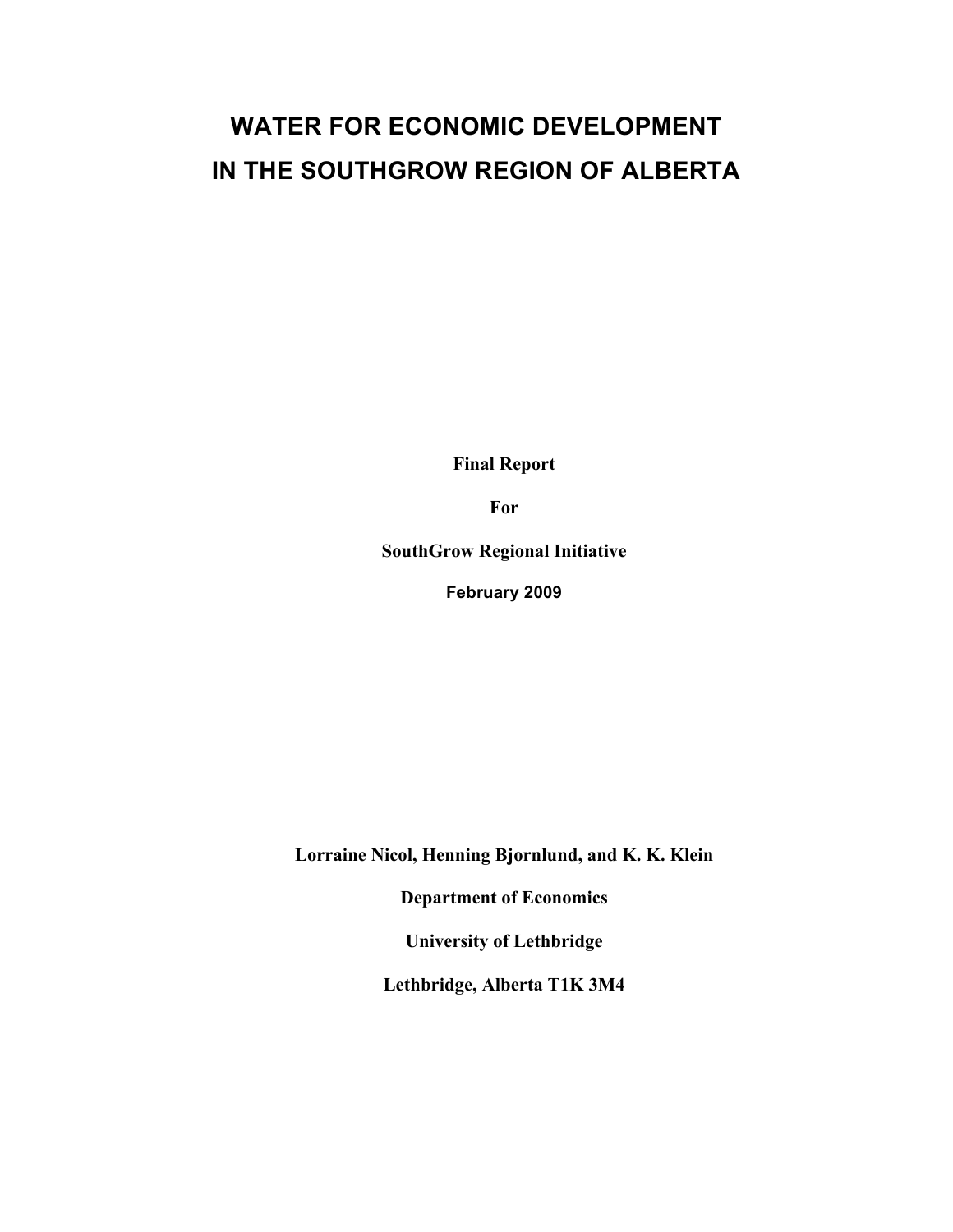## **WATER FOR ECONOMIC DEVELOPMENT IN THE SOUTHGROW REGION OF ALBERTA**

**Final Report**

**For**

**SouthGrow Regional Initiative**

**February 2009**

**Lorraine Nicol, Henning Bjornlund, and K. K. Klein**

**Department of Economics** 

**University of Lethbridge**

**Lethbridge, Alberta T1K 3M4**